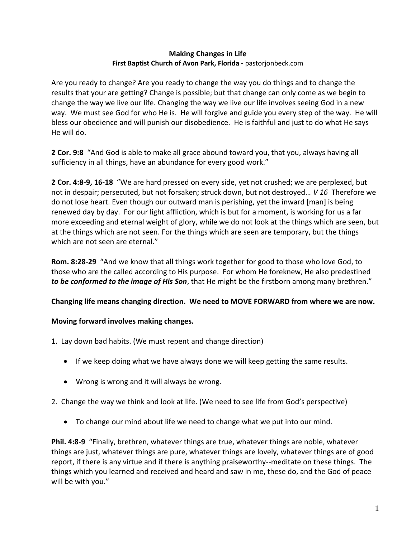## **Making Changes in Life First Baptist Church of Avon Park, Florida -** [pastorjonbeck.com](http://www.fbcap.net/)

Are you ready to change? Are you ready to change the way you do things and to change the results that your are getting? Change is possible; but that change can only come as we begin to change the way we live our life. Changing the way we live our life involves seeing God in a new way. We must see God for who He is. He will forgive and guide you every step of the way. He will bless our obedience and will punish our disobedience. He is faithful and just to do what He says He will do.

**2 Cor. 9:8** "And God is able to make all grace abound toward you, that you, always having all sufficiency in all things, have an abundance for every good work."

**2 Cor. 4:8-9, 16-18** "We are hard pressed on every side, yet not crushed; we are perplexed, but not in despair; persecuted, but not forsaken; struck down, but not destroyed… *V 16* Therefore we do not lose heart. Even though our outward man is perishing, yet the inward [man] is being renewed day by day. For our light affliction, which is but for a moment, is working for us a far more exceeding and eternal weight of glory, while we do not look at the things which are seen, but at the things which are not seen. For the things which are seen are temporary, but the things which are not seen are eternal."

**Rom. 8:28-29** "And we know that all things work together for good to those who love God, to those who are the called according to His purpose. For whom He foreknew, He also predestined *to be conformed to the image of His Son*, that He might be the firstborn among many brethren."

## **Changing life means changing direction. We need to MOVE FORWARD from where we are now.**

## **Moving forward involves making changes.**

- 1. Lay down bad habits. (We must repent and change direction)
	- If we keep doing what we have always done we will keep getting the same results.
	- Wrong is wrong and it will always be wrong.
- 2. Change the way we think and look at life. (We need to see life from God's perspective)
	- To change our mind about life we need to change what we put into our mind.

**Phil. 4:8-9** "Finally, brethren, whatever things are true, whatever things are noble, whatever things are just, whatever things are pure, whatever things are lovely, whatever things are of good report, if there is any virtue and if there is anything praiseworthy--meditate on these things. The things which you learned and received and heard and saw in me, these do, and the God of peace will be with you."